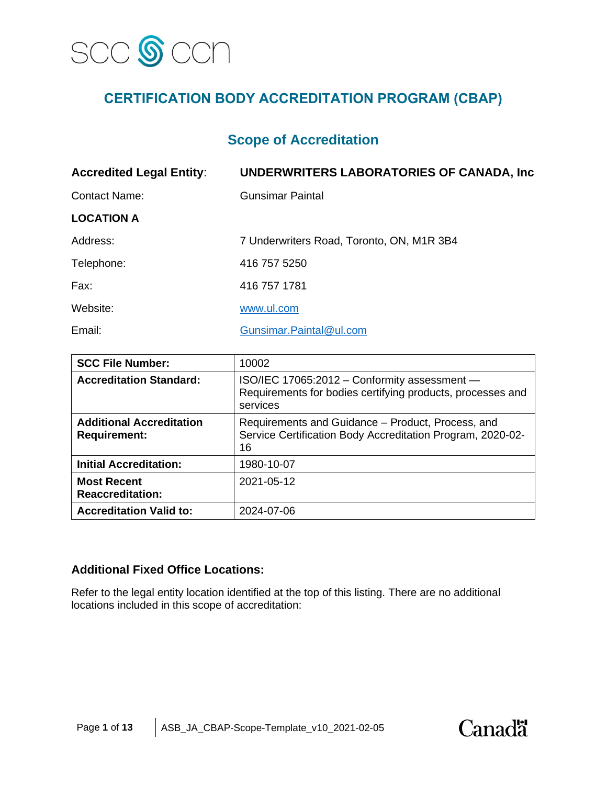

# **CERTIFICATION BODY ACCREDITATION PROGRAM (CBAP)**

## **Scope of Accreditation**

| <b>Accredited Legal Entity:</b> | UNDERWRITERS LABORATORIES OF CANADA, Inc. |
|---------------------------------|-------------------------------------------|
| <b>Contact Name:</b>            | <b>Gunsimar Paintal</b>                   |
| <b>LOCATION A</b>               |                                           |
| Address:                        | 7 Underwriters Road, Toronto, ON, M1R 3B4 |
| Telephone:                      | 416 757 5250                              |
| Fax:                            | 416 757 1781                              |
| Website:                        | www.ul.com                                |
| Email:                          | Gunsimar.Paintal@ul.com                   |

| <b>SCC File Number:</b>                                | 10002                                                                                                                  |
|--------------------------------------------------------|------------------------------------------------------------------------------------------------------------------------|
| <b>Accreditation Standard:</b>                         | ISO/IEC 17065:2012 - Conformity assessment -<br>Requirements for bodies certifying products, processes and<br>services |
| <b>Additional Accreditation</b><br><b>Requirement:</b> | Requirements and Guidance – Product, Process, and<br>Service Certification Body Accreditation Program, 2020-02-<br>16  |
| <b>Initial Accreditation:</b>                          | 1980-10-07                                                                                                             |
| <b>Most Recent</b><br><b>Reaccreditation:</b>          | 2021-05-12                                                                                                             |
| <b>Accreditation Valid to:</b>                         | 2024-07-06                                                                                                             |

## **Additional Fixed Office Locations:**

Refer to the legal entity location identified at the top of this listing. There are no additional locations included in this scope of accreditation:

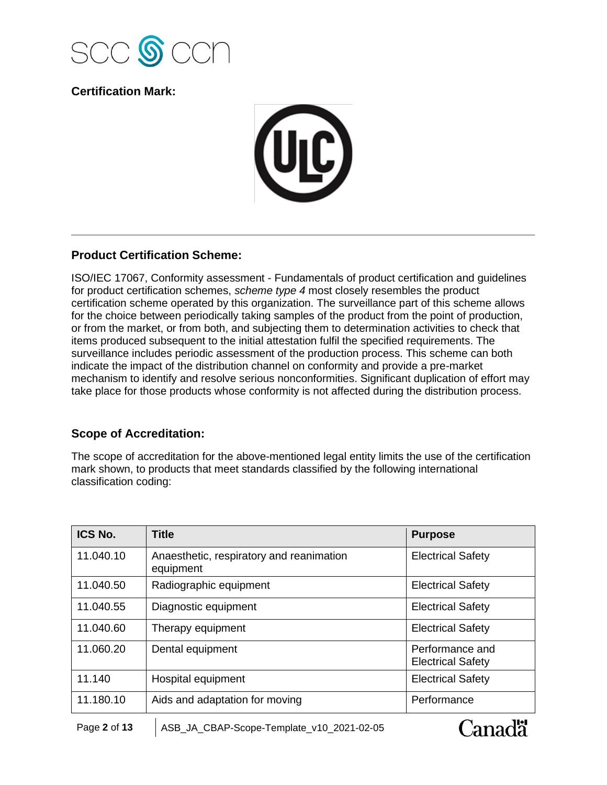

**Certification Mark:**



## **Product Certification Scheme:**

ISO/IEC 17067, Conformity assessment - Fundamentals of product certification and guidelines for product certification schemes, *scheme type 4* most closely resembles the product certification scheme operated by this organization. The surveillance part of this scheme allows for the choice between periodically taking samples of the product from the point of production, or from the market, or from both, and subjecting them to determination activities to check that items produced subsequent to the initial attestation fulfil the specified requirements. The surveillance includes periodic assessment of the production process. This scheme can both indicate the impact of the distribution channel on conformity and provide a pre-market mechanism to identify and resolve serious nonconformities. Significant duplication of effort may take place for those products whose conformity is not affected during the distribution process.

## **Scope of Accreditation:**

The scope of accreditation for the above-mentioned legal entity limits the use of the certification mark shown, to products that meet standards classified by the following international classification coding:

| ICS No.   | <b>Title</b>                                          | <b>Purpose</b>                              |
|-----------|-------------------------------------------------------|---------------------------------------------|
| 11.040.10 | Anaesthetic, respiratory and reanimation<br>equipment | <b>Electrical Safety</b>                    |
| 11.040.50 | Radiographic equipment                                | <b>Electrical Safety</b>                    |
| 11.040.55 | Diagnostic equipment                                  | <b>Electrical Safety</b>                    |
| 11.040.60 | Therapy equipment                                     | <b>Electrical Safety</b>                    |
| 11.060.20 | Dental equipment                                      | Performance and<br><b>Electrical Safety</b> |
| 11.140    | Hospital equipment                                    | <b>Electrical Safety</b>                    |
| 11.180.10 | Aids and adaptation for moving                        | Performance                                 |

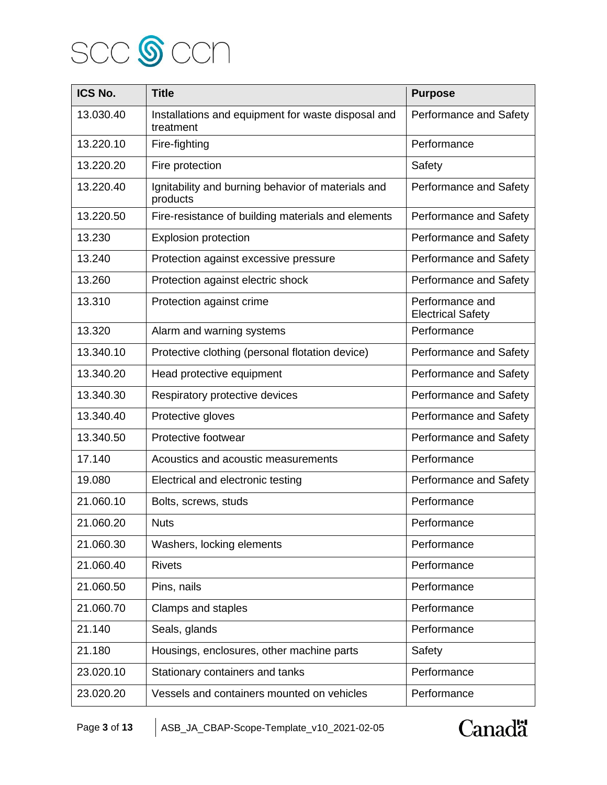

| ICS No.   | <b>Title</b>                                                    | <b>Purpose</b>                              |
|-----------|-----------------------------------------------------------------|---------------------------------------------|
| 13.030.40 | Installations and equipment for waste disposal and<br>treatment | Performance and Safety                      |
| 13.220.10 | Fire-fighting                                                   | Performance                                 |
| 13.220.20 | Fire protection                                                 | Safety                                      |
| 13.220.40 | Ignitability and burning behavior of materials and<br>products  | Performance and Safety                      |
| 13.220.50 | Fire-resistance of building materials and elements              | Performance and Safety                      |
| 13.230    | Explosion protection                                            | Performance and Safety                      |
| 13.240    | Protection against excessive pressure                           | Performance and Safety                      |
| 13.260    | Protection against electric shock                               | Performance and Safety                      |
| 13.310    | Protection against crime                                        | Performance and<br><b>Electrical Safety</b> |
| 13.320    | Alarm and warning systems                                       | Performance                                 |
| 13.340.10 | Protective clothing (personal flotation device)                 | Performance and Safety                      |
| 13.340.20 | Head protective equipment                                       | Performance and Safety                      |
| 13.340.30 | Respiratory protective devices                                  | Performance and Safety                      |
| 13.340.40 | Protective gloves                                               | Performance and Safety                      |
| 13.340.50 | Protective footwear                                             | Performance and Safety                      |
| 17.140    | Acoustics and acoustic measurements                             | Performance                                 |
| 19.080    | Electrical and electronic testing                               | Performance and Safety                      |
| 21.060.10 | Bolts, screws, studs                                            | Performance                                 |
| 21.060.20 | <b>Nuts</b>                                                     | Performance                                 |
| 21.060.30 | Washers, locking elements                                       | Performance                                 |
| 21.060.40 | <b>Rivets</b>                                                   | Performance                                 |
| 21.060.50 | Pins, nails                                                     | Performance                                 |
| 21.060.70 | Clamps and staples                                              | Performance                                 |
| 21.140    | Seals, glands                                                   | Performance                                 |
| 21.180    | Housings, enclosures, other machine parts                       | Safety                                      |
| 23.020.10 | Stationary containers and tanks                                 | Performance                                 |
| 23.020.20 | Vessels and containers mounted on vehicles                      | Performance                                 |

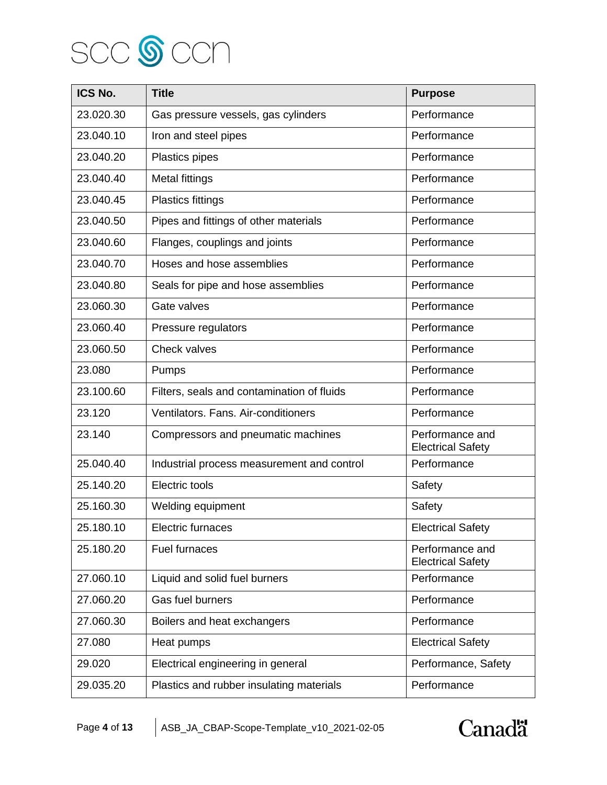

| ICS No.   | <b>Title</b>                               | <b>Purpose</b>                              |
|-----------|--------------------------------------------|---------------------------------------------|
| 23.020.30 | Gas pressure vessels, gas cylinders        | Performance                                 |
| 23.040.10 | Iron and steel pipes                       | Performance                                 |
| 23.040.20 | Plastics pipes                             | Performance                                 |
| 23.040.40 | <b>Metal fittings</b>                      | Performance                                 |
| 23.040.45 | Plastics fittings                          | Performance                                 |
| 23.040.50 | Pipes and fittings of other materials      | Performance                                 |
| 23.040.60 | Flanges, couplings and joints              | Performance                                 |
| 23.040.70 | Hoses and hose assemblies                  | Performance                                 |
| 23.040.80 | Seals for pipe and hose assemblies         | Performance                                 |
| 23.060.30 | Gate valves                                | Performance                                 |
| 23.060.40 | Pressure regulators                        | Performance                                 |
| 23.060.50 | <b>Check valves</b>                        | Performance                                 |
| 23.080    | Pumps                                      | Performance                                 |
| 23.100.60 | Filters, seals and contamination of fluids | Performance                                 |
| 23.120    | Ventilators. Fans. Air-conditioners        | Performance                                 |
| 23.140    | Compressors and pneumatic machines         | Performance and<br><b>Electrical Safety</b> |
| 25.040.40 | Industrial process measurement and control | Performance                                 |
| 25.140.20 | Electric tools                             | Safety                                      |
| 25.160.30 | Welding equipment                          | Safety                                      |
| 25.180.10 | Electric furnaces                          | <b>Electrical Safety</b>                    |
| 25.180.20 | <b>Fuel furnaces</b>                       | Performance and<br><b>Electrical Safety</b> |
| 27.060.10 | Liquid and solid fuel burners              | Performance                                 |
| 27.060.20 | Gas fuel burners                           | Performance                                 |
| 27.060.30 | Boilers and heat exchangers                | Performance                                 |
| 27.080    | Heat pumps                                 | <b>Electrical Safety</b>                    |
| 29.020    | Electrical engineering in general          | Performance, Safety                         |
| 29.035.20 | Plastics and rubber insulating materials   | Performance                                 |

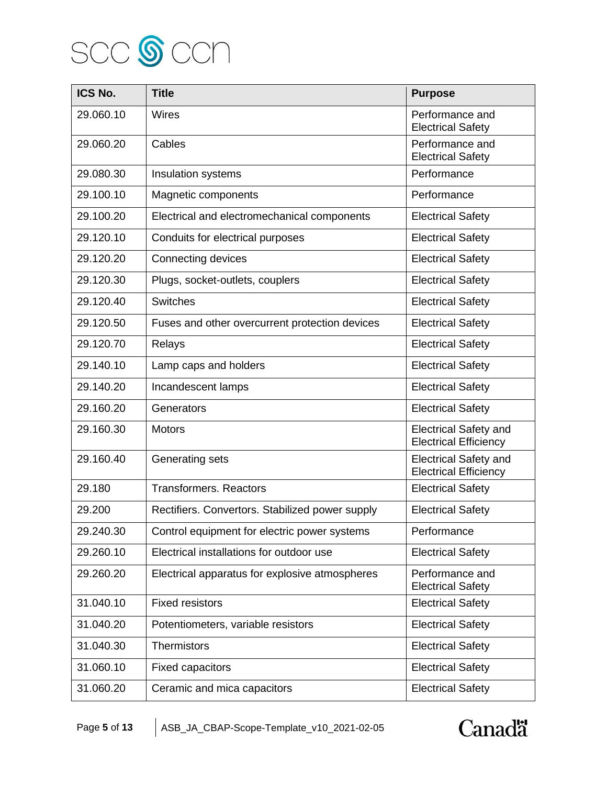

| ICS No.   | <b>Title</b>                                    | <b>Purpose</b>                                               |
|-----------|-------------------------------------------------|--------------------------------------------------------------|
| 29.060.10 | Wires                                           | Performance and<br><b>Electrical Safety</b>                  |
| 29.060.20 | Cables                                          | Performance and<br><b>Electrical Safety</b>                  |
| 29.080.30 | Insulation systems                              | Performance                                                  |
| 29.100.10 | Magnetic components                             | Performance                                                  |
| 29.100.20 | Electrical and electromechanical components     | <b>Electrical Safety</b>                                     |
| 29.120.10 | Conduits for electrical purposes                | <b>Electrical Safety</b>                                     |
| 29.120.20 | Connecting devices                              | <b>Electrical Safety</b>                                     |
| 29.120.30 | Plugs, socket-outlets, couplers                 | <b>Electrical Safety</b>                                     |
| 29.120.40 | <b>Switches</b>                                 | <b>Electrical Safety</b>                                     |
| 29.120.50 | Fuses and other overcurrent protection devices  | <b>Electrical Safety</b>                                     |
| 29.120.70 | Relays                                          | <b>Electrical Safety</b>                                     |
| 29.140.10 | Lamp caps and holders                           | <b>Electrical Safety</b>                                     |
| 29.140.20 | Incandescent lamps                              | <b>Electrical Safety</b>                                     |
| 29.160.20 | Generators                                      | <b>Electrical Safety</b>                                     |
| 29.160.30 | <b>Motors</b>                                   | <b>Electrical Safety and</b><br><b>Electrical Efficiency</b> |
| 29.160.40 | Generating sets                                 | <b>Electrical Safety and</b><br><b>Electrical Efficiency</b> |
| 29.180    | <b>Transformers. Reactors</b>                   | <b>Electrical Safety</b>                                     |
| 29.200    | Rectifiers. Convertors. Stabilized power supply | <b>Electrical Safety</b>                                     |
| 29.240.30 | Control equipment for electric power systems    | Performance                                                  |
| 29.260.10 | Electrical installations for outdoor use        | <b>Electrical Safety</b>                                     |
| 29.260.20 | Electrical apparatus for explosive atmospheres  | Performance and<br><b>Electrical Safety</b>                  |
| 31.040.10 | <b>Fixed resistors</b>                          | <b>Electrical Safety</b>                                     |
| 31.040.20 | Potentiometers, variable resistors              | <b>Electrical Safety</b>                                     |
| 31.040.30 | <b>Thermistors</b>                              | <b>Electrical Safety</b>                                     |
| 31.060.10 | <b>Fixed capacitors</b>                         | <b>Electrical Safety</b>                                     |
| 31.060.20 | Ceramic and mica capacitors                     | <b>Electrical Safety</b>                                     |

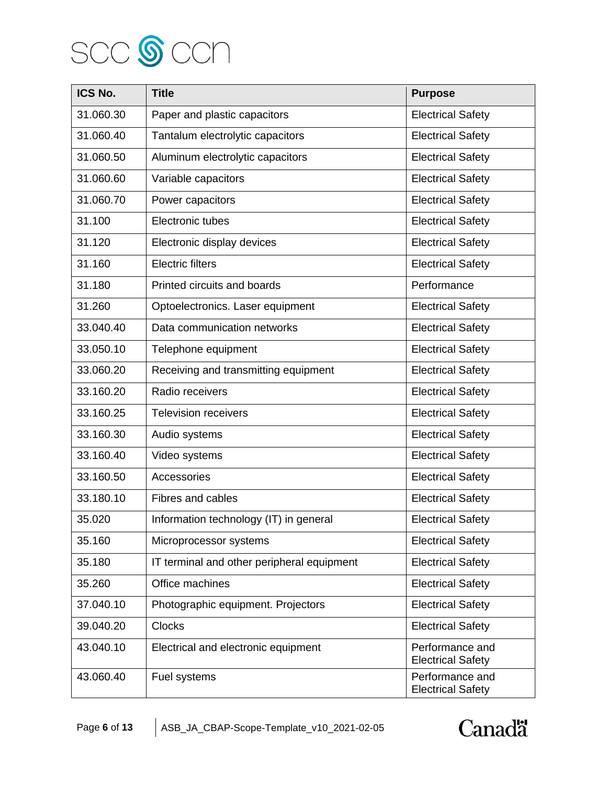

| ICS No.   | <b>Title</b>                               | <b>Purpose</b>                              |
|-----------|--------------------------------------------|---------------------------------------------|
| 31.060.30 | Paper and plastic capacitors               | <b>Electrical Safety</b>                    |
| 31.060.40 | Tantalum electrolytic capacitors           | <b>Electrical Safety</b>                    |
| 31.060.50 | Aluminum electrolytic capacitors           | <b>Electrical Safety</b>                    |
| 31.060.60 | Variable capacitors                        | <b>Electrical Safety</b>                    |
| 31.060.70 | Power capacitors                           | <b>Electrical Safety</b>                    |
| 31.100    | Electronic tubes                           | <b>Electrical Safety</b>                    |
| 31.120    | Electronic display devices                 | <b>Electrical Safety</b>                    |
| 31.160    | <b>Electric filters</b>                    | <b>Electrical Safety</b>                    |
| 31.180    | Printed circuits and boards                | Performance                                 |
| 31.260    | Optoelectronics. Laser equipment           | <b>Electrical Safety</b>                    |
| 33.040.40 | Data communication networks                | <b>Electrical Safety</b>                    |
| 33.050.10 | Telephone equipment                        | <b>Electrical Safety</b>                    |
| 33.060.20 | Receiving and transmitting equipment       | <b>Electrical Safety</b>                    |
| 33.160.20 | Radio receivers                            | <b>Electrical Safety</b>                    |
| 33.160.25 | <b>Television receivers</b>                | <b>Electrical Safety</b>                    |
| 33.160.30 | Audio systems                              | <b>Electrical Safety</b>                    |
| 33.160.40 | Video systems                              | <b>Electrical Safety</b>                    |
| 33.160.50 | Accessories                                | <b>Electrical Safety</b>                    |
| 33.180.10 | Fibres and cables                          | <b>Electrical Safety</b>                    |
| 35.020    | Information technology (IT) in general     | <b>Electrical Safety</b>                    |
| 35.160    | Microprocessor systems                     | <b>Electrical Safety</b>                    |
| 35.180    | IT terminal and other peripheral equipment | <b>Electrical Safety</b>                    |
| 35.260    | Office machines                            | <b>Electrical Safety</b>                    |
| 37.040.10 | Photographic equipment. Projectors         | <b>Electrical Safety</b>                    |
| 39.040.20 | <b>Clocks</b>                              | <b>Electrical Safety</b>                    |
| 43.040.10 | Electrical and electronic equipment        | Performance and<br><b>Electrical Safety</b> |
| 43.060.40 | Fuel systems                               | Performance and<br><b>Electrical Safety</b> |

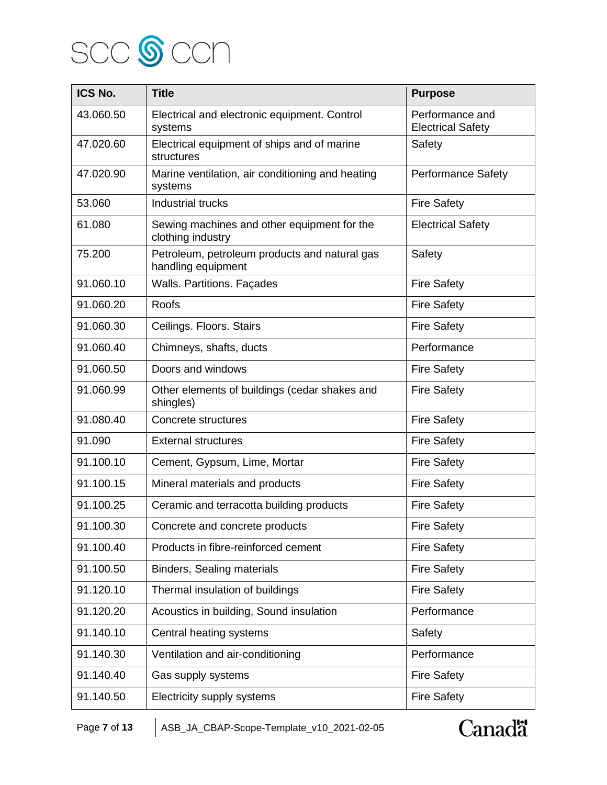

| ICS No.   | <b>Title</b>                                                        | <b>Purpose</b>                              |
|-----------|---------------------------------------------------------------------|---------------------------------------------|
| 43.060.50 | Electrical and electronic equipment. Control<br>systems             | Performance and<br><b>Electrical Safety</b> |
| 47.020.60 | Electrical equipment of ships and of marine<br>structures           | Safety                                      |
| 47.020.90 | Marine ventilation, air conditioning and heating<br>systems         | <b>Performance Safety</b>                   |
| 53.060    | <b>Industrial trucks</b>                                            | <b>Fire Safety</b>                          |
| 61.080    | Sewing machines and other equipment for the<br>clothing industry    | <b>Electrical Safety</b>                    |
| 75.200    | Petroleum, petroleum products and natural gas<br>handling equipment | Safety                                      |
| 91.060.10 | <b>Walls. Partitions. Façades</b>                                   | <b>Fire Safety</b>                          |
| 91.060.20 | Roofs                                                               | <b>Fire Safety</b>                          |
| 91.060.30 | Ceilings. Floors. Stairs                                            | <b>Fire Safety</b>                          |
| 91.060.40 | Chimneys, shafts, ducts                                             | Performance                                 |
| 91.060.50 | Doors and windows                                                   | <b>Fire Safety</b>                          |
| 91.060.99 | Other elements of buildings (cedar shakes and<br>shingles)          | <b>Fire Safety</b>                          |
| 91.080.40 | Concrete structures                                                 | <b>Fire Safety</b>                          |
| 91.090    | <b>External structures</b>                                          | <b>Fire Safety</b>                          |
| 91.100.10 | Cement, Gypsum, Lime, Mortar                                        | <b>Fire Safety</b>                          |
| 91.100.15 | Mineral materials and products                                      | <b>Fire Safety</b>                          |
| 91.100.25 | Ceramic and terracotta building products                            | <b>Fire Safety</b>                          |
| 91.100.30 | Concrete and concrete products                                      | <b>Fire Safety</b>                          |
| 91.100.40 | Products in fibre-reinforced cement                                 | <b>Fire Safety</b>                          |
| 91.100.50 | <b>Binders, Sealing materials</b>                                   | <b>Fire Safety</b>                          |
| 91.120.10 | Thermal insulation of buildings                                     | <b>Fire Safety</b>                          |
| 91.120.20 | Acoustics in building, Sound insulation                             | Performance                                 |
| 91.140.10 | Central heating systems                                             | Safety                                      |
| 91.140.30 | Ventilation and air-conditioning                                    | Performance                                 |
| 91.140.40 | Gas supply systems                                                  | <b>Fire Safety</b>                          |
| 91.140.50 | Electricity supply systems                                          | <b>Fire Safety</b>                          |

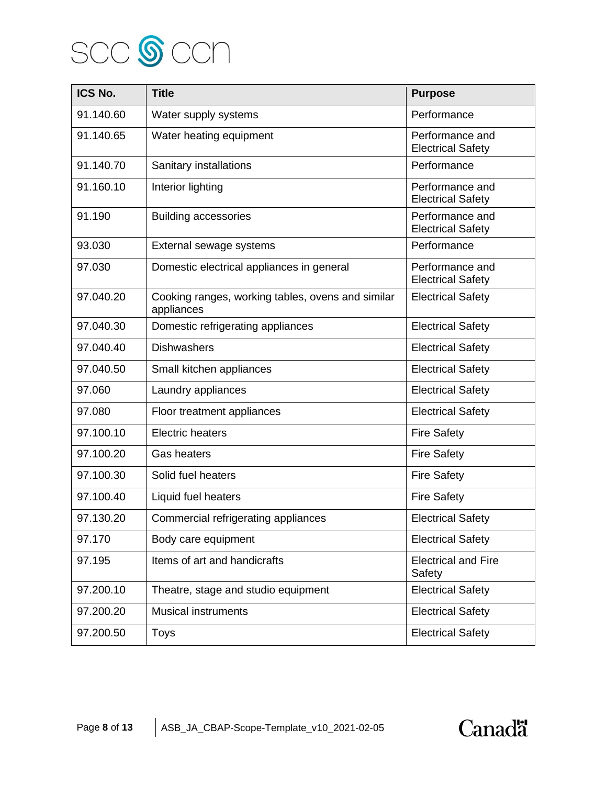

| ICS No.   | <b>Title</b>                                                    | <b>Purpose</b>                              |
|-----------|-----------------------------------------------------------------|---------------------------------------------|
| 91.140.60 | Water supply systems                                            | Performance                                 |
| 91.140.65 | Water heating equipment                                         | Performance and<br><b>Electrical Safety</b> |
| 91.140.70 | Sanitary installations                                          | Performance                                 |
| 91.160.10 | Interior lighting                                               | Performance and<br><b>Electrical Safety</b> |
| 91.190    | <b>Building accessories</b>                                     | Performance and<br><b>Electrical Safety</b> |
| 93.030    | External sewage systems                                         | Performance                                 |
| 97.030    | Domestic electrical appliances in general                       | Performance and<br><b>Electrical Safety</b> |
| 97.040.20 | Cooking ranges, working tables, ovens and similar<br>appliances | <b>Electrical Safety</b>                    |
| 97.040.30 | Domestic refrigerating appliances                               | <b>Electrical Safety</b>                    |
| 97.040.40 | <b>Dishwashers</b>                                              | <b>Electrical Safety</b>                    |
| 97.040.50 | Small kitchen appliances                                        | <b>Electrical Safety</b>                    |
| 97.060    | Laundry appliances                                              | <b>Electrical Safety</b>                    |
| 97.080    | Floor treatment appliances                                      | <b>Electrical Safety</b>                    |
| 97.100.10 | <b>Electric heaters</b>                                         | <b>Fire Safety</b>                          |
| 97.100.20 | <b>Gas heaters</b>                                              | <b>Fire Safety</b>                          |
| 97.100.30 | Solid fuel heaters                                              | <b>Fire Safety</b>                          |
| 97.100.40 | Liquid fuel heaters                                             | <b>Fire Safety</b>                          |
| 97.130.20 | Commercial refrigerating appliances                             | <b>Electrical Safety</b>                    |
| 97.170    | Body care equipment                                             | <b>Electrical Safety</b>                    |
| 97.195    | Items of art and handicrafts                                    | <b>Electrical and Fire</b><br>Safety        |
| 97.200.10 | Theatre, stage and studio equipment                             | <b>Electrical Safety</b>                    |
| 97.200.20 | <b>Musical instruments</b>                                      | <b>Electrical Safety</b>                    |
| 97.200.50 | <b>Toys</b>                                                     | <b>Electrical Safety</b>                    |

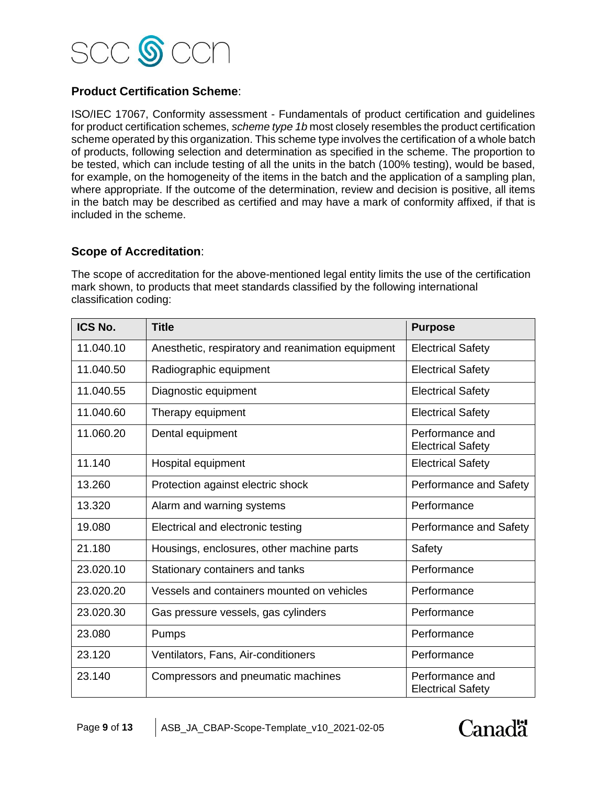

## **Product Certification Scheme**:

ISO/IEC 17067, Conformity assessment - Fundamentals of product certification and guidelines for product certification schemes, *scheme type 1b* most closely resembles the product certification scheme operated by this organization. This scheme type involves the certification of a whole batch of products, following selection and determination as specified in the scheme. The proportion to be tested, which can include testing of all the units in the batch (100% testing), would be based, for example, on the homogeneity of the items in the batch and the application of a sampling plan, where appropriate. If the outcome of the determination, review and decision is positive, all items in the batch may be described as certified and may have a mark of conformity affixed, if that is included in the scheme.

#### **Scope of Accreditation**:

The scope of accreditation for the above-mentioned legal entity limits the use of the certification mark shown, to products that meet standards classified by the following international classification coding:

| ICS No.   | <b>Title</b>                                      | <b>Purpose</b>                              |
|-----------|---------------------------------------------------|---------------------------------------------|
| 11.040.10 | Anesthetic, respiratory and reanimation equipment | <b>Electrical Safety</b>                    |
| 11.040.50 | Radiographic equipment                            | <b>Electrical Safety</b>                    |
| 11.040.55 | Diagnostic equipment                              | <b>Electrical Safety</b>                    |
| 11.040.60 | Therapy equipment                                 | <b>Electrical Safety</b>                    |
| 11.060.20 | Dental equipment                                  | Performance and<br><b>Electrical Safety</b> |
| 11.140    | Hospital equipment                                | <b>Electrical Safety</b>                    |
| 13.260    | Protection against electric shock                 | Performance and Safety                      |
| 13.320    | Alarm and warning systems                         | Performance                                 |
| 19.080    | Electrical and electronic testing                 | Performance and Safety                      |
| 21.180    | Housings, enclosures, other machine parts         | Safety                                      |
| 23.020.10 | Stationary containers and tanks                   | Performance                                 |
| 23.020.20 | Vessels and containers mounted on vehicles        | Performance                                 |
| 23.020.30 | Gas pressure vessels, gas cylinders               | Performance                                 |
| 23.080    | Pumps                                             | Performance                                 |
| 23.120    | Ventilators, Fans, Air-conditioners               | Performance                                 |
| 23.140    | Compressors and pneumatic machines                | Performance and<br><b>Electrical Safety</b> |

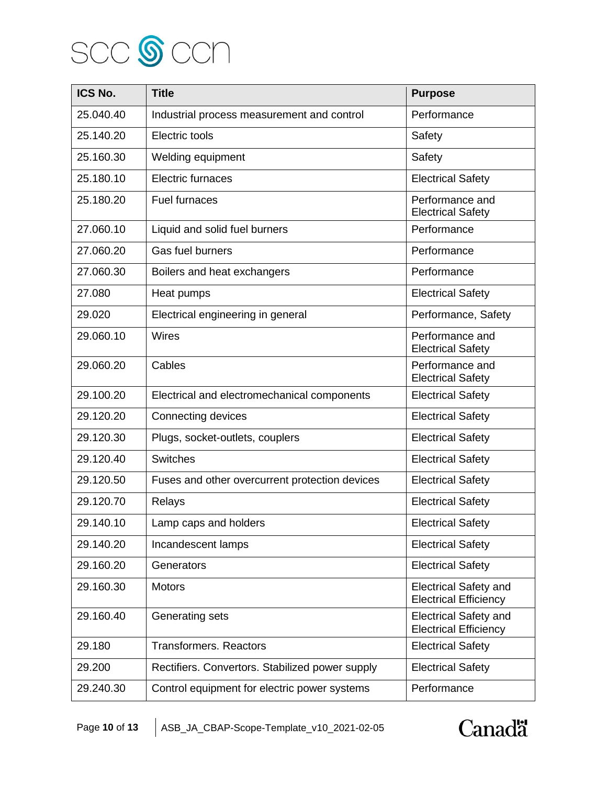

| ICS No.   | <b>Title</b>                                    | <b>Purpose</b>                                               |
|-----------|-------------------------------------------------|--------------------------------------------------------------|
| 25.040.40 | Industrial process measurement and control      | Performance                                                  |
| 25.140.20 | Electric tools                                  | Safety                                                       |
| 25.160.30 | Welding equipment                               | Safety                                                       |
| 25.180.10 | Electric furnaces                               | <b>Electrical Safety</b>                                     |
| 25.180.20 | <b>Fuel furnaces</b>                            | Performance and<br><b>Electrical Safety</b>                  |
| 27.060.10 | Liquid and solid fuel burners                   | Performance                                                  |
| 27.060.20 | Gas fuel burners                                | Performance                                                  |
| 27.060.30 | Boilers and heat exchangers                     | Performance                                                  |
| 27.080    | Heat pumps                                      | <b>Electrical Safety</b>                                     |
| 29.020    | Electrical engineering in general               | Performance, Safety                                          |
| 29.060.10 | Wires                                           | Performance and<br><b>Electrical Safety</b>                  |
| 29.060.20 | Cables                                          | Performance and<br><b>Electrical Safety</b>                  |
| 29.100.20 | Electrical and electromechanical components     | <b>Electrical Safety</b>                                     |
| 29.120.20 | Connecting devices                              | <b>Electrical Safety</b>                                     |
| 29.120.30 | Plugs, socket-outlets, couplers                 | <b>Electrical Safety</b>                                     |
| 29.120.40 | <b>Switches</b>                                 | <b>Electrical Safety</b>                                     |
| 29.120.50 | Fuses and other overcurrent protection devices  | <b>Electrical Safety</b>                                     |
| 29.120.70 | Relays                                          | <b>Electrical Safety</b>                                     |
| 29.140.10 | Lamp caps and holders                           | <b>Electrical Safety</b>                                     |
| 29.140.20 | Incandescent lamps                              | <b>Electrical Safety</b>                                     |
| 29.160.20 | Generators                                      | <b>Electrical Safety</b>                                     |
| 29.160.30 | <b>Motors</b>                                   | <b>Electrical Safety and</b><br><b>Electrical Efficiency</b> |
| 29.160.40 | Generating sets                                 | <b>Electrical Safety and</b><br><b>Electrical Efficiency</b> |
| 29.180    | <b>Transformers. Reactors</b>                   | <b>Electrical Safety</b>                                     |
| 29.200    | Rectifiers. Convertors. Stabilized power supply | <b>Electrical Safety</b>                                     |
| 29.240.30 | Control equipment for electric power systems    | Performance                                                  |

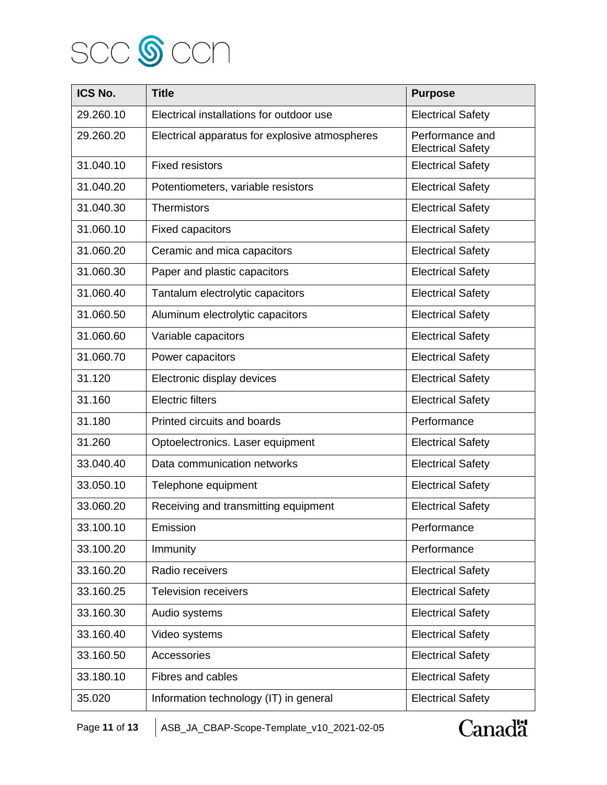

| ICS No.   | <b>Title</b>                                   | <b>Purpose</b>                              |
|-----------|------------------------------------------------|---------------------------------------------|
| 29.260.10 | Electrical installations for outdoor use       | <b>Electrical Safety</b>                    |
| 29.260.20 | Electrical apparatus for explosive atmospheres | Performance and<br><b>Electrical Safety</b> |
| 31.040.10 | <b>Fixed resistors</b>                         | <b>Electrical Safety</b>                    |
| 31.040.20 | Potentiometers, variable resistors             | <b>Electrical Safety</b>                    |
| 31.040.30 | <b>Thermistors</b>                             | <b>Electrical Safety</b>                    |
| 31.060.10 | <b>Fixed capacitors</b>                        | <b>Electrical Safety</b>                    |
| 31.060.20 | Ceramic and mica capacitors                    | <b>Electrical Safety</b>                    |
| 31.060.30 | Paper and plastic capacitors                   | <b>Electrical Safety</b>                    |
| 31.060.40 | Tantalum electrolytic capacitors               | <b>Electrical Safety</b>                    |
| 31.060.50 | Aluminum electrolytic capacitors               | <b>Electrical Safety</b>                    |
| 31.060.60 | Variable capacitors                            | <b>Electrical Safety</b>                    |
| 31.060.70 | Power capacitors                               | <b>Electrical Safety</b>                    |
| 31.120    | Electronic display devices                     | <b>Electrical Safety</b>                    |
| 31.160    | <b>Electric filters</b>                        | <b>Electrical Safety</b>                    |
| 31.180    | Printed circuits and boards                    | Performance                                 |
| 31.260    | Optoelectronics. Laser equipment               | <b>Electrical Safety</b>                    |
| 33.040.40 | Data communication networks                    | <b>Electrical Safety</b>                    |
| 33.050.10 | Telephone equipment                            | <b>Electrical Safety</b>                    |
| 33.060.20 | Receiving and transmitting equipment           | <b>Electrical Safety</b>                    |
| 33.100.10 | Emission                                       | Performance                                 |
| 33.100.20 | Immunity                                       | Performance                                 |
| 33.160.20 | Radio receivers                                | <b>Electrical Safety</b>                    |
| 33.160.25 | <b>Television receivers</b>                    | <b>Electrical Safety</b>                    |
| 33.160.30 | Audio systems                                  | <b>Electrical Safety</b>                    |
| 33.160.40 | Video systems                                  | <b>Electrical Safety</b>                    |
| 33.160.50 | Accessories                                    | <b>Electrical Safety</b>                    |
| 33.180.10 | Fibres and cables                              | <b>Electrical Safety</b>                    |
| 35.020    | Information technology (IT) in general         | <b>Electrical Safety</b>                    |

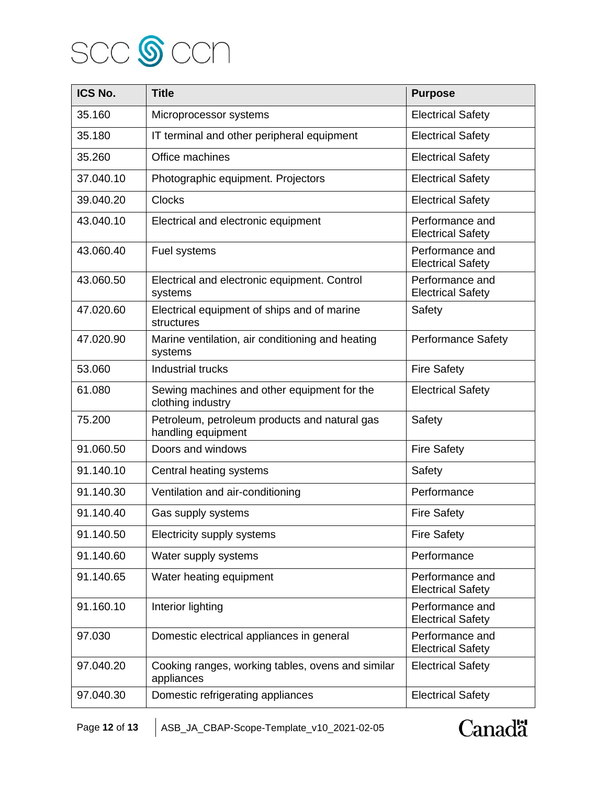

| ICS No.   | <b>Title</b>                                                        | <b>Purpose</b>                              |
|-----------|---------------------------------------------------------------------|---------------------------------------------|
| 35.160    | Microprocessor systems                                              | <b>Electrical Safety</b>                    |
| 35.180    | IT terminal and other peripheral equipment                          | <b>Electrical Safety</b>                    |
| 35.260    | Office machines                                                     | <b>Electrical Safety</b>                    |
| 37.040.10 | Photographic equipment. Projectors                                  | <b>Electrical Safety</b>                    |
| 39.040.20 | <b>Clocks</b>                                                       | <b>Electrical Safety</b>                    |
| 43.040.10 | Electrical and electronic equipment                                 | Performance and<br><b>Electrical Safety</b> |
| 43.060.40 | Fuel systems                                                        | Performance and<br><b>Electrical Safety</b> |
| 43.060.50 | Electrical and electronic equipment. Control<br>systems             | Performance and<br><b>Electrical Safety</b> |
| 47.020.60 | Electrical equipment of ships and of marine<br>structures           | Safety                                      |
| 47.020.90 | Marine ventilation, air conditioning and heating<br>systems         | <b>Performance Safety</b>                   |
| 53.060    | <b>Industrial trucks</b>                                            | <b>Fire Safety</b>                          |
| 61.080    | Sewing machines and other equipment for the<br>clothing industry    | <b>Electrical Safety</b>                    |
| 75.200    | Petroleum, petroleum products and natural gas<br>handling equipment | Safety                                      |
| 91.060.50 | Doors and windows                                                   | <b>Fire Safety</b>                          |
| 91.140.10 | Central heating systems                                             | Safety                                      |
| 91.140.30 | Ventilation and air-conditioning                                    | Performance                                 |
| 91.140.40 | Gas supply systems                                                  | <b>Fire Safety</b>                          |
| 91.140.50 | Electricity supply systems                                          | <b>Fire Safety</b>                          |
| 91.140.60 | Water supply systems                                                | Performance                                 |
| 91.140.65 | Water heating equipment                                             | Performance and<br><b>Electrical Safety</b> |
| 91.160.10 | Interior lighting                                                   | Performance and<br><b>Electrical Safety</b> |
| 97.030    | Domestic electrical appliances in general                           | Performance and<br><b>Electrical Safety</b> |
| 97.040.20 | Cooking ranges, working tables, ovens and similar<br>appliances     | <b>Electrical Safety</b>                    |
| 97.040.30 | Domestic refrigerating appliances                                   | <b>Electrical Safety</b>                    |